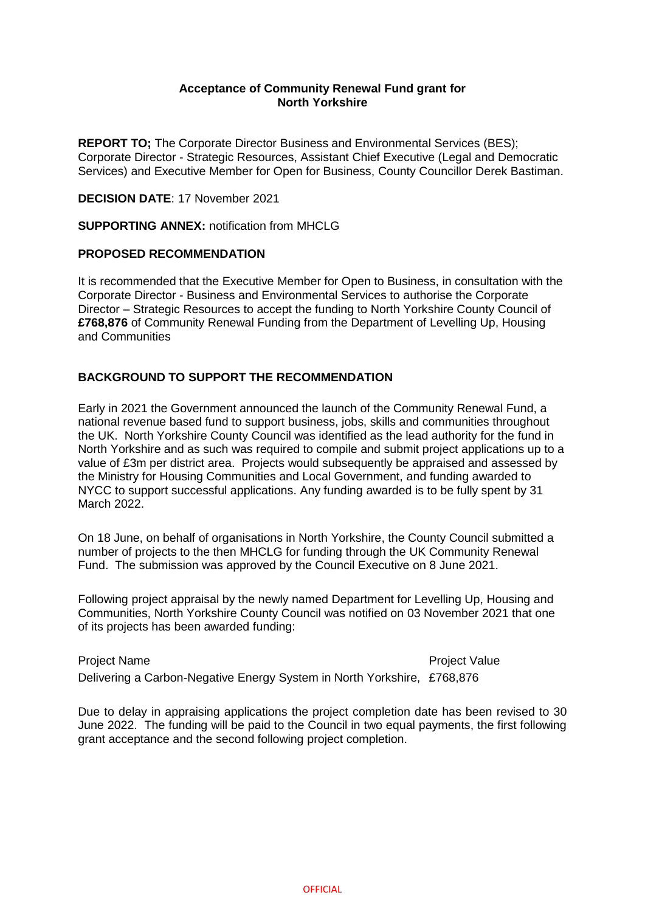### **Acceptance of Community Renewal Fund grant for North Yorkshire**

**REPORT TO;** The Corporate Director Business and Environmental Services (BES); Corporate Director - Strategic Resources, Assistant Chief Executive (Legal and Democratic Services) and Executive Member for Open for Business, County Councillor Derek Bastiman.

**DECISION DATE**: 17 November 2021

**SUPPORTING ANNEX:** notification from MHCLG

### **PROPOSED RECOMMENDATION**

It is recommended that the Executive Member for Open to Business, in consultation with the Corporate Director - Business and Environmental Services to authorise the Corporate Director – Strategic Resources to accept the funding to North Yorkshire County Council of **£768,876** of Community Renewal Funding from the Department of Levelling Up, Housing and Communities

## **BACKGROUND TO SUPPORT THE RECOMMENDATION**

Early in 2021 the Government announced the launch of the Community Renewal Fund, a national revenue based fund to support business, jobs, skills and communities throughout the UK. North Yorkshire County Council was identified as the lead authority for the fund in North Yorkshire and as such was required to compile and submit project applications up to a value of £3m per district area. Projects would subsequently be appraised and assessed by the Ministry for Housing Communities and Local Government, and funding awarded to NYCC to support successful applications. Any funding awarded is to be fully spent by 31 March 2022.

On 18 June, on behalf of organisations in North Yorkshire, the County Council submitted a number of projects to the then MHCLG for funding through the UK Community Renewal Fund. The submission was approved by the Council Executive on 8 June 2021.

Following project appraisal by the newly named Department for Levelling Up, Housing and Communities, North Yorkshire County Council was notified on 03 November 2021 that one of its projects has been awarded funding:

Project Name **Project Value** 

Delivering a Carbon-Negative Energy System in North Yorkshire, £768,876

Due to delay in appraising applications the project completion date has been revised to 30 June 2022. The funding will be paid to the Council in two equal payments, the first following grant acceptance and the second following project completion.